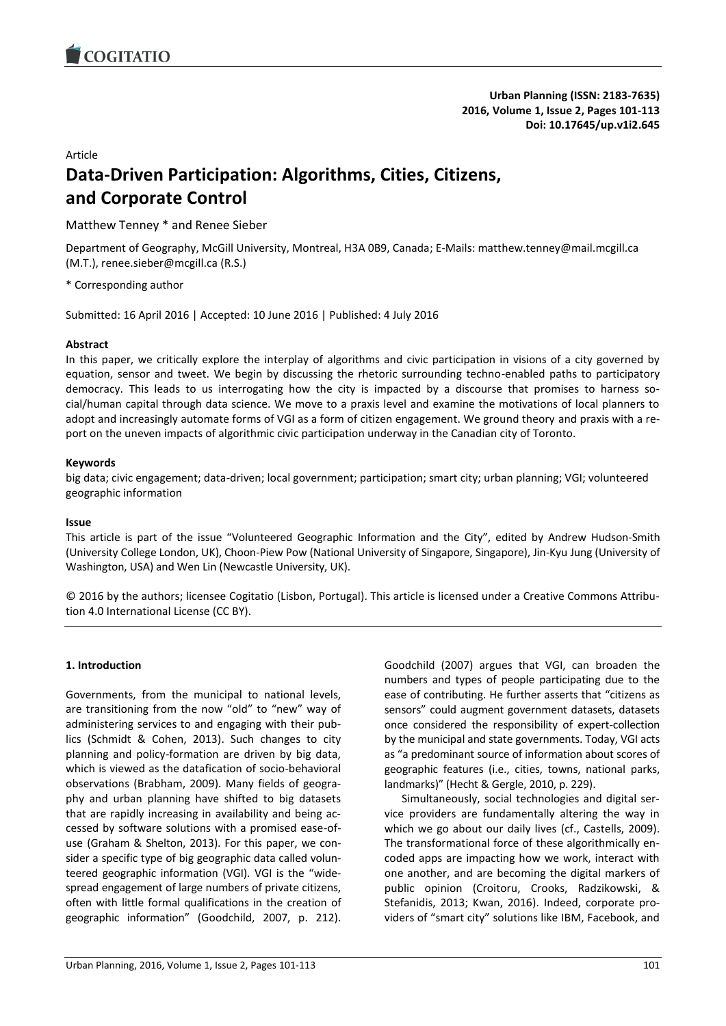

#### Article

# **Data-Driven Participation: Algorithms, Cities, Citizens, and Corporate Control**

# Matthew Tenney \* and Renee Sieber

Department of Geography, McGill University, Montreal, H3A 0B9, Canada; E-Mails: matthew.tenney@mail.mcgill.ca (M.T.), renee.sieber@mcgill.ca (R.S.)

\* Corresponding author

Submitted: 16 April 2016 | Accepted: 10 June 2016 | Published: 4 July 2016

#### **Abstract**

In this paper, we critically explore the interplay of algorithms and civic participation in visions of a city governed by equation, sensor and tweet. We begin by discussing the rhetoric surrounding techno-enabled paths to participatory democracy. This leads to us interrogating how the city is impacted by a discourse that promises to harness social/human capital through data science. We move to a praxis level and examine the motivations of local planners to adopt and increasingly automate forms of VGI as a form of citizen engagement. We ground theory and praxis with a report on the uneven impacts of algorithmic civic participation underway in the Canadian city of Toronto.

#### **Keywords**

big data; civic engagement; data-driven; local government; participation; smart city; urban planning; VGI; volunteered geographic information

#### **Issue**

This article is part of the issue "Volunteered Geographic Information and the City", edited by Andrew Hudson-Smith (University College London, UK), Choon-Piew Pow (National University of Singapore, Singapore), Jin-Kyu Jung (University of Washington, USA) and Wen Lin (Newcastle University, UK).

© 2016 by the authors; licensee Cogitatio (Lisbon, Portugal). This article is licensed under a Creative Commons Attribution 4.0 International License (CC BY).

## **1. Introduction**

Governments, from the municipal to national levels, are transitioning from the now "old" to "new" way of administering services to and engaging with their publics (Schmidt & Cohen, 2013). Such changes to city planning and policy-formation are driven by big data, which is viewed as the datafication of socio-behavioral observations (Brabham, 2009). Many fields of geography and urban planning have shifted to big datasets that are rapidly increasing in availability and being accessed by software solutions with a promised ease-ofuse (Graham & Shelton, 2013). For this paper, we consider a specific type of big geographic data called volunteered geographic information (VGI). VGI is the "widespread engagement of large numbers of private citizens, often with little formal qualifications in the creation of geographic information" [\(Goodchild, 2007, p. 212\).](https://paperpile.com/c/NyVtJ0/G8wF/?locator=212) 

Goodchild (2007) argues that VGI, can broaden the numbers and types of people participating due to the ease of contributing. He further asserts that "citizens as sensors" could augment government datasets, datasets once considered the responsibility of expert-collection by the municipal and state governments. Today, VGI acts as "a predominant source of information about scores of geographic features (i.e., cities, towns, national parks, landmarks)" (Hecht & Gergle, 2010, p. 229).

Simultaneously, social technologies and digital service providers are fundamentally altering the way in which we go about our daily lives (cf., Castells, 2009). The transformational force of these algorithmically encoded apps are impacting how we work, interact with one another, and are becoming the digital markers of public opinion (Croitoru, Crooks, Radzikowski, & Stefanidis, 2013; Kwan, 2016). Indeed, corporate providers of "smart city" solutions like IBM, Facebook, and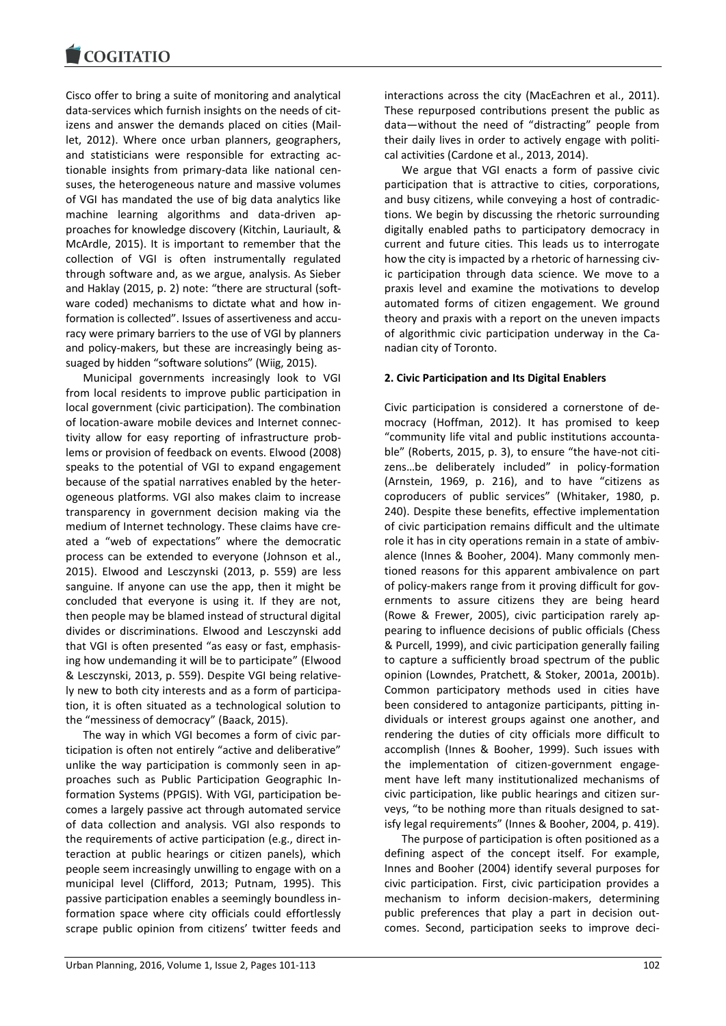Cisco offer to bring a suite of monitoring and analytical data-services which furnish insights on the needs of citizens and answer the demands placed on cities (Maillet, 2012). Where once urban planners, geographers, and statisticians were responsible for extracting actionable insights from primary-data like national censuses, the heterogeneous nature and massive volumes of VGI has mandated the use of big data analytics like machine learning algorithms and data-driven approaches for knowledge discovery (Kitchin, Lauriault, & McArdle, 2015). It is important to remember that the collection of VGI is often instrumentally regulated through software and, as we argue, analysis. As Sieber and Haklay (2015, p. 2) note: "there are structural (software coded) mechanisms to dictate what and how information is collected". Issues of assertiveness and accuracy were primary barriers to the use of VGI by planners and policy-makers, but these are increasingly being assuaged by hidden "software solutions" (Wiig, 2015).

Municipal governments increasingly look to VGI from local residents to improve public participation in local government (civic participation). The combination of location-aware mobile devices and Internet connectivity allow for easy reporting of infrastructure problems or provision of feedback on events. Elwood (2008) speaks to the potential of VGI to expand engagement because of the spatial narratives enabled by the heterogeneous platforms. VGI also makes claim to increase transparency in government decision making via the medium of Internet technology. These claims have created a "web of expectations" where the democratic process can be extended to everyone (Johnson et al., 2015). Elwood and Lesczynski (2013, p. 559) are less sanguine. If anyone can use the app, then it might be concluded that everyone is using it. If they are not, then people may be blamed instead of structural digital divides or discriminations. Elwood and Lesczynski add that VGI is often presented "as easy or fast, emphasising how undemanding it will be to participate" (Elwood & Lesczynski, 2013, p. 559). Despite VGI being relatively new to both city interests and as a form of participation, it is often situated as a technological solution to the "messiness of democracy" (Baack, 2015).

The way in which VGI becomes a form of civic participation is often not entirely "active and deliberative" unlike the way participation is commonly seen in approaches such as Public Participation Geographic Information Systems (PPGIS). With VGI, participation becomes a largely passive act through automated service of data collection and analysis. VGI also responds to the requirements of active participation (e.g., direct interaction at public hearings or citizen panels), which people seem increasingly unwilling to engage with on a municipal level (Clifford, 2013; Putnam, 1995). This passive participation enables a seemingly boundless information space where city officials could effortlessly scrape public opinion from citizens' twitter feeds and

interactions across the city (MacEachren et al., 2011). These repurposed contributions present the public as data—without the need of "distracting" people from their daily lives in order to actively engage with political activities (Cardone et al., 2013, 2014).

We argue that VGI enacts a form of passive civic participation that is attractive to cities, corporations, and busy citizens, while conveying a host of contradictions. We begin by discussing the rhetoric surrounding digitally enabled paths to participatory democracy in current and future cities. This leads us to interrogate how the city is impacted by a rhetoric of harnessing civic participation through data science. We move to a praxis level and examine the motivations to develop automated forms of citizen engagement. We ground theory and praxis with a report on the uneven impacts of algorithmic civic participation underway in the Canadian city of Toronto.

## **2. Civic Participation and Its Digital Enablers**

Civic participation is considered a cornerstone of democracy (Hoffman, 2012). It has promised to keep "community life vital and public institutions accountable" (Roberts, 2015, p. 3), to ensure "the have-not citizens…be deliberately included" in policy-formation (Arnstein, 1969, p. 216), and to have "citizens as coproducers of public services" (Whitaker, 1980, p. 240). Despite these benefits, effective implementation of civic participation remains difficult and the ultimate role it has in city operations remain in a state of ambivalence (Innes & Booher, 2004). Many commonly mentioned reasons for this apparent ambivalence on part of policy-makers range from it proving difficult for governments to assure citizens they are being heard (Rowe & Frewer, 2005), civic participation rarely appearing to influence decisions of public officials (Chess & Purcell, 1999), and civic participation generally failing to capture a sufficiently broad spectrum of the public opinion (Lowndes, Pratchett, & Stoker, 2001a, 2001b). Common participatory methods used in cities have been considered to antagonize participants, pitting individuals or interest groups against one another, and rendering the duties of city officials more difficult to accomplish (Innes & Booher, 1999). Such issues with the implementation of citizen-government engagement have left many institutionalized mechanisms of civic participation, like public hearings and citizen surveys, "to be nothing more than rituals designed to satisfy legal requirements" (Innes & Booher, 2004, p. 419).

The purpose of participation is often positioned as a defining aspect of the concept itself. For example, Innes and Booher (2004) identify several purposes for civic participation. First, civic participation provides a mechanism to inform decision-makers, determining public preferences that play a part in decision outcomes. Second, participation seeks to improve deci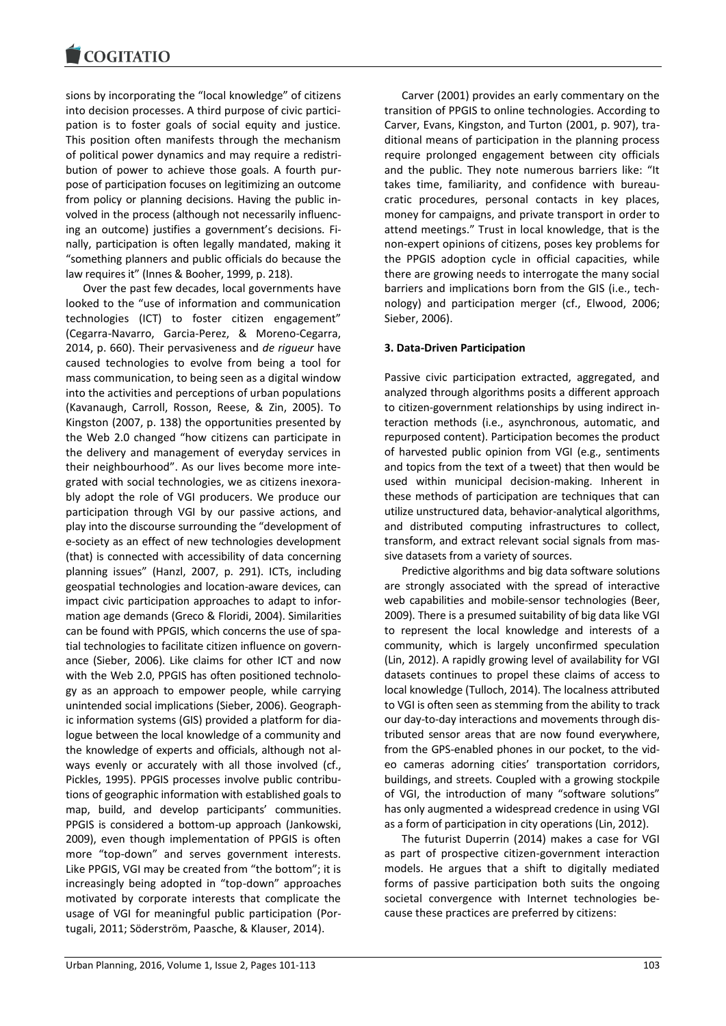sions by incorporating the "local knowledge" of citizens into decision processes. A third purpose of civic participation is to foster goals of social equity and justice. This position often manifests through the mechanism of political power dynamics and may require a redistribution of power to achieve those goals. A fourth purpose of participation focuses on legitimizing an outcome from policy or planning decisions. Having the public involved in the process (although not necessarily influencing an outcome) justifies a government's decisions. Finally, participation is often legally mandated, making it "something planners and public officials do because the law requires it" (Innes & Booher, 1999, p. 218).

Over the past few decades, local governments have looked to the "use of information and communication technologies (ICT) to foster citizen engagement" (Cegarra-Navarro, Garcia-Perez, & Moreno-Cegarra, 2014, p. 660). Their pervasiveness and *de rigueur* have caused technologies to evolve from being a tool for mass communication, to being seen as a digital window into the activities and perceptions of urban populations (Kavanaugh, Carroll, Rosson, Reese, & Zin, 2005). To Kingston (2007, p. 138) the opportunities presented by the Web 2.0 changed "how citizens can participate in the delivery and management of everyday services in their neighbourhood". As our lives become more integrated with social technologies, we as citizens inexorably adopt the role of VGI producers. We produce our participation through VGI by our passive actions, and play into the discourse surrounding the "development of e-society as an effect of new technologies development (that) is connected with accessibility of data concerning planning issues" (Hanzl, 2007, p. 291). ICTs, including geospatial technologies and location-aware devices, can impact civic participation approaches to adapt to information age demands (Greco & Floridi, 2004). Similarities can be found with PPGIS, which concerns the use of spatial technologies to facilitate citizen influence on governance (Sieber, 2006). Like claims for other ICT and now with the Web 2.0, PPGIS has often positioned technology as an approach to empower people, while carrying unintended social implications (Sieber, 2006). Geographic information systems (GIS) provided a platform for dialogue between the local knowledge of a community and the knowledge of experts and officials, although not always evenly or accurately with all those involved (cf., Pickles, 1995). PPGIS processes involve public contributions of geographic information with established goals to map, build, and develop participants' communities. PPGIS is considered a bottom-up approach (Jankowski, 2009), even though implementation of PPGIS is often more "top-down" and serves government interests. Like PPGIS, VGI may be created from "the bottom"; it is increasingly being adopted in "top-down" approaches motivated by corporate interests that complicate the usage of VGI for meaningful public participation (Portugali, 2011; Söderström, Paasche, & Klauser, 2014).

Carver (2001) provides an early commentary on the transition of PPGIS to online technologies. According to Carver, Evans, Kingston, and Turton (2001, p. 907), traditional means of participation in the planning process require prolonged engagement between city officials and the public. They note numerous barriers like: "It takes time, familiarity, and confidence with bureaucratic procedures, personal contacts in key places, money for campaigns, and private transport in order to attend meetings." Trust in local knowledge, that is the non-expert opinions of citizens, poses key problems for the PPGIS adoption cycle in official capacities, while there are growing needs to interrogate the many social barriers and implications born from the GIS (i.e., technology) and participation merger (cf., Elwood, 2006; Sieber, 2006).

## **3. Data-Driven Participation**

Passive civic participation extracted, aggregated, and analyzed through algorithms posits a different approach to citizen-government relationships by using indirect interaction methods (i.e., asynchronous, automatic, and repurposed content). Participation becomes the product of harvested public opinion from VGI (e.g., sentiments and topics from the text of a tweet) that then would be used within municipal decision-making. Inherent in these methods of participation are techniques that can utilize unstructured data, behavior-analytical algorithms, and distributed computing infrastructures to collect, transform, and extract relevant social signals from massive datasets from a variety of sources.

Predictive algorithms and big data software solutions are strongly associated with the spread of interactive web capabilities and mobile-sensor technologies (Beer, 2009). There is a presumed suitability of big data like VGI to represent the local knowledge and interests of a community, which is largely unconfirmed speculation (Lin, 2012). A rapidly growing level of availability for VGI datasets continues to propel these claims of access to local knowledge (Tulloch, 2014). The localness attributed to VGI is often seen as stemming from the ability to track our day-to-day interactions and movements through distributed sensor areas that are now found everywhere, from the GPS-enabled phones in our pocket, to the video cameras adorning cities' transportation corridors, buildings, and streets. Coupled with a growing stockpile of VGI, the introduction of many "software solutions" has only augmented a widespread credence in using VGI as a form of participation in city operations (Lin, 2012).

The futurist Duperrin (2014) makes a case for VGI as part of prospective citizen-government interaction models. He argues that a shift to digitally mediated forms of passive participation both suits the ongoing societal convergence with Internet technologies because these practices are preferred by citizens: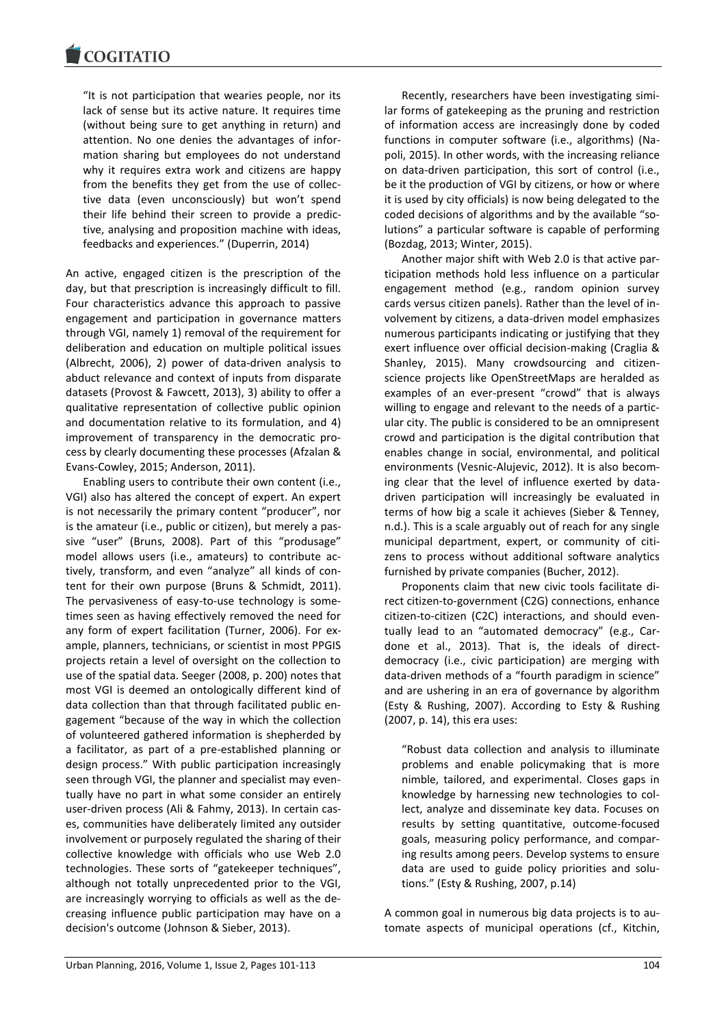"It is not participation that wearies people, nor its lack of sense but its active nature. It requires time (without being sure to get anything in return) and attention. No one denies the advantages of information sharing but employees do not understand why it requires extra work and citizens are happy from the benefits they get from the use of collective data (even unconsciously) but won't spend their life behind their screen to provide a predictive, analysing and proposition machine with ideas, feedbacks and experiences." (Duperrin, 2014)

An active, engaged citizen is the prescription of the day, but that prescription is increasingly difficult to fill. Four characteristics advance this approach to passive engagement and participation in governance matters through VGI, namely 1) removal of the requirement for deliberation and education on multiple political issues (Albrecht, 2006), 2) power of data-driven analysis to abduct relevance and context of inputs from disparate datasets (Provost & Fawcett, 2013), 3) ability to offer a qualitative representation of collective public opinion and documentation relative to its formulation, and 4) improvement of transparency in the democratic process by clearly documenting these processes (Afzalan & Evans-Cowley, 2015; Anderson, 2011).

Enabling users to contribute their own content (i.e., VGI) also has altered the concept of expert. An expert is not necessarily the primary content "producer", nor is the amateur (i.e., public or citizen), but merely a passive "user" (Bruns, 2008). Part of this "produsage" model allows users (i.e., amateurs) to contribute actively, transform, and even "analyze" all kinds of content for their own purpose (Bruns & Schmidt, 2011). The pervasiveness of easy-to-use technology is sometimes seen as having effectively removed the need for any form of expert facilitation (Turner, 2006). For example, planners, technicians, or scientist in most PPGIS projects retain a level of oversight on the collection to use of the spatial data. Seeger (2008, p. 200) notes that most VGI is deemed an ontologically different kind of data collection than that through facilitated public engagement "because of the way in which the collection of volunteered gathered information is shepherded by a facilitator, as part of a pre-established planning or design process." With public participation increasingly seen through VGI, the planner and specialist may eventually have no part in what some consider an entirely user-driven process (Ali & Fahmy, 2013). In certain cases, communities have deliberately limited any outsider involvement or purposely regulated the sharing of their collective knowledge with officials who use Web 2.0 technologies. These sorts of "gatekeeper techniques", although not totally unprecedented prior to the VGI, are increasingly worrying to officials as well as the decreasing influence public participation may have on a decision's outcome (Johnson & Sieber, 2013).

Recently, researchers have been investigating similar forms of gatekeeping as the pruning and restriction of information access are increasingly done by coded functions in computer software (i.e., algorithms) (Napoli, 2015). In other words, with the increasing reliance on data-driven participation, this sort of control (i.e., be it the production of VGI by citizens, or how or where it is used by city officials) is now being delegated to the coded decisions of algorithms and by the available "solutions" a particular software is capable of performing (Bozdag, 2013; Winter, 2015).

Another major shift with Web 2.0 is that active participation methods hold less influence on a particular engagement method (e.g., random opinion survey cards versus citizen panels). Rather than the level of involvement by citizens, a data-driven model emphasizes numerous participants indicating or justifying that they exert influence over official decision-making (Craglia & Shanley, 2015). Many crowdsourcing and citizenscience projects like OpenStreetMaps are heralded as examples of an ever-present "crowd" that is always willing to engage and relevant to the needs of a particular city. The public is considered to be an omnipresent crowd and participation is the digital contribution that enables change in social, environmental, and political environments (Vesnic-Alujevic, 2012). It is also becoming clear that the level of influence exerted by datadriven participation will increasingly be evaluated in terms of how big a scale it achieves (Sieber & Tenney, n.d.). This is a scale arguably out of reach for any single municipal department, expert, or community of citizens to process without additional software analytics furnished by private companies (Bucher, 2012).

Proponents claim that new civic tools facilitate direct citizen-to-government (C2G) connections, enhance citizen-to-citizen (C2C) interactions, and should eventually lead to an "automated democracy" (e.g., Cardone et al., 2013). That is, the ideals of directdemocracy (i.e., civic participation) are merging with data-driven methods of a "fourth paradigm in science" and are ushering in an era of governance by algorithm (Esty & Rushing, 2007). According to Esty & Rushing (2007, p. 14), this era uses:

"Robust data collection and analysis to illuminate problems and enable policymaking that is more nimble, tailored, and experimental. Closes gaps in knowledge by harnessing new technologies to collect, analyze and disseminate key data. Focuses on results by setting quantitative, outcome-focused goals, measuring policy performance, and comparing results among peers. Develop systems to ensure data are used to guide policy priorities and solutions." (Esty & Rushing, 2007, p.14)

A common goal in numerous big data projects is to automate aspects of municipal operations (cf., Kitchin,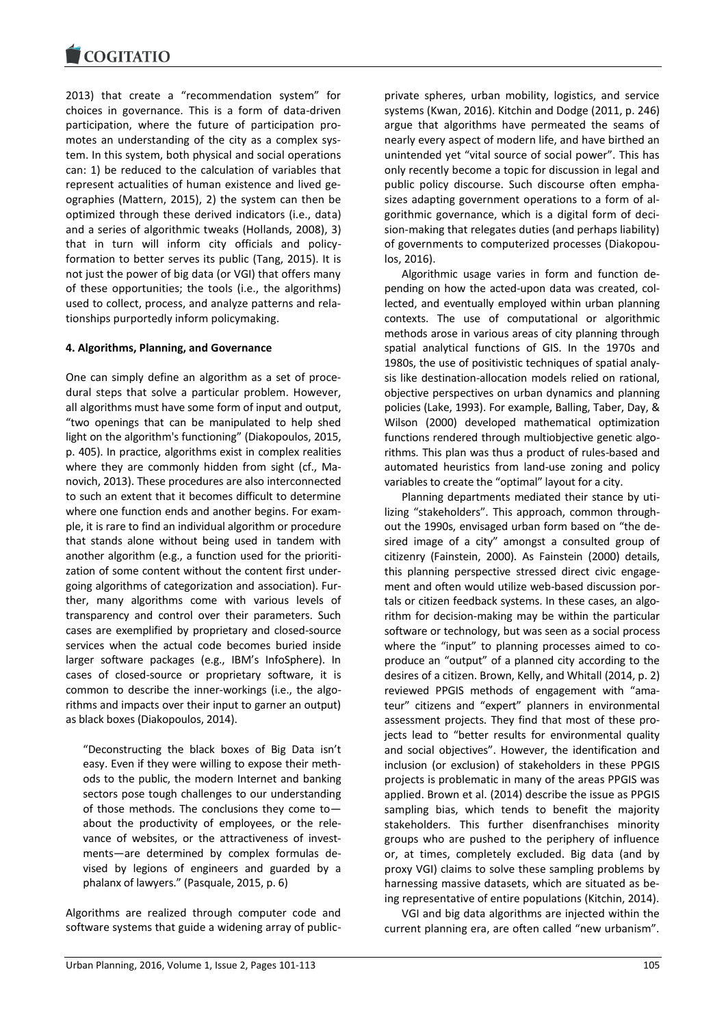2013) that create a "recommendation system" for choices in governance. This is a form of data-driven participation, where the future of participation promotes an understanding of the city as a complex system. In this system, both physical and social operations can: 1) be reduced to the calculation of variables that represent actualities of human existence and lived geographies (Mattern, 2015), 2) the system can then be optimized through these derived indicators (i.e., data) and a series of algorithmic tweaks (Hollands, 2008), 3) that in turn will inform city officials and policyformation to better serves its public (Tang, 2015). It is not just the power of big data (or VGI) that offers many of these opportunities; the tools (i.e., the algorithms) used to collect, process, and analyze patterns and relationships purportedly inform policymaking.

## **4. Algorithms, Planning, and Governance**

One can simply define an algorithm as a set of procedural steps that solve a particular problem. However, all algorithms must have some form of input and output, "two openings that can be manipulated to help shed light on the algorithm's functioning" (Diakopoulos, 2015, p. 405). In practice, algorithms exist in complex realities where they are commonly hidden from sight (cf., Manovich, 2013). These procedures are also interconnected to such an extent that it becomes difficult to determine where one function ends and another begins. For example, it is rare to find an individual algorithm or procedure that stands alone without being used in tandem with another algorithm (e.g., a function used for the prioritization of some content without the content first undergoing algorithms of categorization and association). Further, many algorithms come with various levels of transparency and control over their parameters. Such cases are exemplified by proprietary and closed-source services when the actual code becomes buried inside larger software packages (e.g., IBM's InfoSphere). In cases of closed-source or proprietary software, it is common to describe the inner-workings (i.e., the algorithms and impacts over their input to garner an output) as black boxes (Diakopoulos, 2014).

"Deconstructing the black boxes of Big Data isn't easy. Even if they were willing to expose their methods to the public, the modern Internet and banking sectors pose tough challenges to our understanding of those methods. The conclusions they come to about the productivity of employees, or the relevance of websites, or the attractiveness of investments—are determined by complex formulas devised by legions of engineers and guarded by a phalanx of lawyers." (Pasquale, 2015, p. 6)

Algorithms are realized through computer code and software systems that guide a widening array of publicprivate spheres, urban mobility, logistics, and service systems (Kwan, 2016). Kitchin and Dodge (2011, p. 246) argue that algorithms have permeated the seams of nearly every aspect of modern life, and have birthed an unintended yet "vital source of social power". This has only recently become a topic for discussion in legal and public policy discourse. Such discourse often emphasizes adapting government operations to a form of algorithmic governance, which is a digital form of decision-making that relegates duties (and perhaps liability) of governments to computerized processes (Diakopoulos, 2016).

Algorithmic usage varies in form and function depending on how the acted-upon data was created, collected, and eventually employed within urban planning contexts. The use of computational or algorithmic methods arose in various areas of city planning through spatial analytical functions of GIS. In the 1970s and 1980s, the use of positivistic techniques of spatial analysis like destination-allocation models relied on rational, objective perspectives on urban dynamics and planning policies (Lake, 1993). For example, Balling, Taber, Day, & Wilson (2000) developed mathematical optimization functions rendered through multiobjective genetic algorithms. This plan was thus a product of rules-based and automated heuristics from land-use zoning and policy variables to create the "optimal" layout for a city.

Planning departments mediated their stance by utilizing "stakeholders". This approach, common throughout the 1990s, envisaged urban form based on "the desired image of a city" amongst a consulted group of citizenry (Fainstein, 2000). As Fainstein (2000) details, this planning perspective stressed direct civic engagement and often would utilize web-based discussion portals or citizen feedback systems. In these cases, an algorithm for decision-making may be within the particular software or technology, but was seen as a social process where the "input" to planning processes aimed to coproduce an "output" of a planned city according to the desires of a citizen. Brown, Kelly, and Whitall (2014, p. 2) reviewed PPGIS methods of engagement with "amateur" citizens and "expert" planners in environmental assessment projects. They find that most of these projects lead to "better results for environmental quality and social objectives". However, the identification and inclusion (or exclusion) of stakeholders in these PPGIS projects is problematic in many of the areas PPGIS was applied. Brown et al. (2014) describe the issue as PPGIS sampling bias, which tends to benefit the majority stakeholders. This further disenfranchises minority groups who are pushed to the periphery of influence or, at times, completely excluded. Big data (and by proxy VGI) claims to solve these sampling problems by harnessing massive datasets, which are situated as being representative of entire populations (Kitchin, 2014).

VGI and big data algorithms are injected within the current planning era, are often called "new urbanism".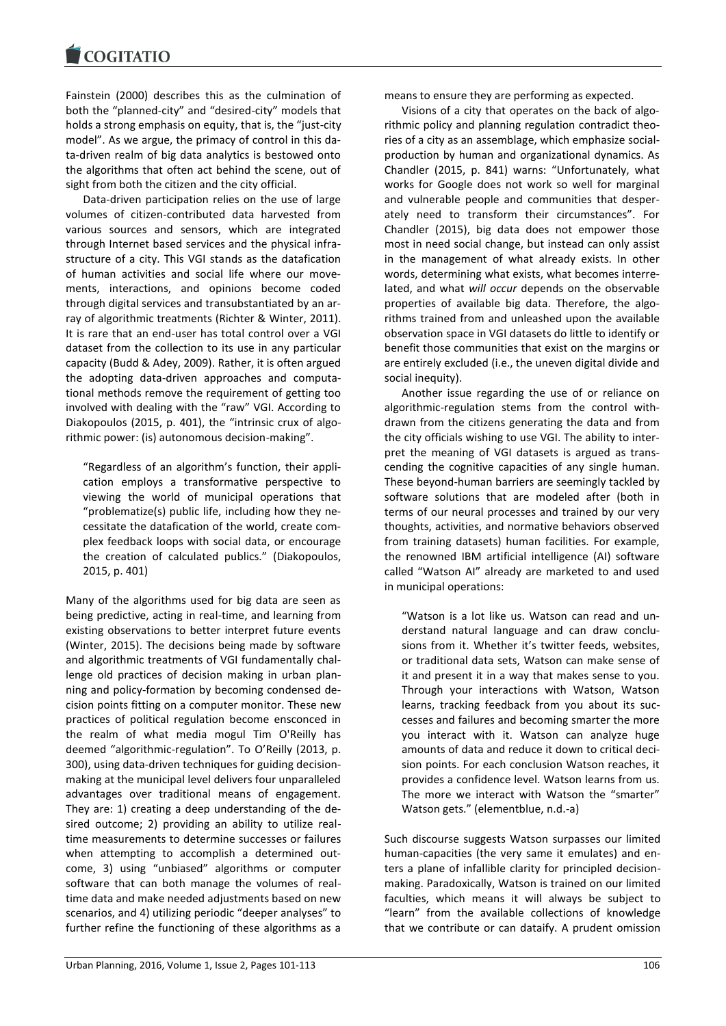Fainstein (2000) describes this as the culmination of both the "planned-city" and "desired-city" models that holds a strong emphasis on equity, that is, the "just-city model". As we argue, the primacy of control in this data-driven realm of big data analytics is bestowed onto the algorithms that often act behind the scene, out of sight from both the citizen and the city official.

Data-driven participation relies on the use of large volumes of citizen-contributed data harvested from various sources and sensors, which are integrated through Internet based services and the physical infrastructure of a city. This VGI stands as the datafication of human activities and social life where our movements, interactions, and opinions become coded through digital services and transubstantiated by an array of algorithmic treatments (Richter & Winter, 2011). It is rare that an end-user has total control over a VGI dataset from the collection to its use in any particular capacity (Budd & Adey, 2009). Rather, it is often argued the adopting data-driven approaches and computational methods remove the requirement of getting too involved with dealing with the "raw" VGI. According to Diakopoulos (2015, p. 401), the "intrinsic crux of algorithmic power: (is) autonomous decision-making".

"Regardless of an algorithm's function, their application employs a transformative perspective to viewing the world of municipal operations that "problematize(s) public life, including how they necessitate the datafication of the world, create complex feedback loops with social data, or encourage the creation of calculated publics." (Diakopoulos, 2015, p. 401)

Many of the algorithms used for big data are seen as being predictive, acting in real-time, and learning from existing observations to better interpret future events (Winter, 2015). The decisions being made by software and algorithmic treatments of VGI fundamentally challenge old practices of decision making in urban planning and policy-formation by becoming condensed decision points fitting on a computer monitor. These new practices of political regulation become ensconced in the realm of what media mogul Tim O'Reilly has deemed "algorithmic-regulation". To O'Reilly (2013, p. 300), using data-driven techniques for guiding decisionmaking at the municipal level delivers four unparalleled advantages over traditional means of engagement. They are: 1) creating a deep understanding of the desired outcome; 2) providing an ability to utilize realtime measurements to determine successes or failures when attempting to accomplish a determined outcome, 3) using "unbiased" algorithms or computer software that can both manage the volumes of realtime data and make needed adjustments based on new scenarios, and 4) utilizing periodic "deeper analyses" to further refine the functioning of these algorithms as a

means to ensure they are performing as expected.

Visions of a city that operates on the back of algorithmic policy and planning regulation contradict theories of a city as an assemblage, which emphasize socialproduction by human and organizational dynamics. As Chandler (2015, p. 841) warns: "Unfortunately, what works for Google does not work so well for marginal and vulnerable people and communities that desperately need to transform their circumstances". For Chandler (2015), big data does not empower those most in need social change, but instead can only assist in the management of what already exists. In other words, determining what exists, what becomes interrelated, and what *will occur* depends on the observable properties of available big data. Therefore, the algorithms trained from and unleashed upon the available observation space in VGI datasets do little to identify or benefit those communities that exist on the margins or are entirely excluded (i.e., the uneven digital divide and social inequity).

Another issue regarding the use of or reliance on algorithmic-regulation stems from the control withdrawn from the citizens generating the data and from the city officials wishing to use VGI. The ability to interpret the meaning of VGI datasets is argued as transcending the cognitive capacities of any single human. These beyond-human barriers are seemingly tackled by software solutions that are modeled after (both in terms of our neural processes and trained by our very thoughts, activities, and normative behaviors observed from training datasets) human facilities. For example, the renowned IBM artificial intelligence (AI) software called "Watson AI" already are marketed to and used in municipal operations:

"Watson is a lot like us. Watson can read and understand natural language and can draw conclusions from it. Whether it's twitter feeds, websites, or traditional data sets, Watson can make sense of it and present it in a way that makes sense to you. Through your interactions with Watson, Watson learns, tracking feedback from you about its successes and failures and becoming smarter the more you interact with it. Watson can analyze huge amounts of data and reduce it down to critical decision points. For each conclusion Watson reaches, it provides a confidence level. Watson learns from us. The more we interact with Watson the "smarter" Watson gets." (elementblue, n.d.-a)

Such discourse suggests Watson surpasses our limited human-capacities (the very same it emulates) and enters a plane of infallible clarity for principled decisionmaking. Paradoxically, Watson is trained on our limited faculties, which means it will always be subject to "learn" from the available collections of knowledge that we contribute or can dataify. A prudent omission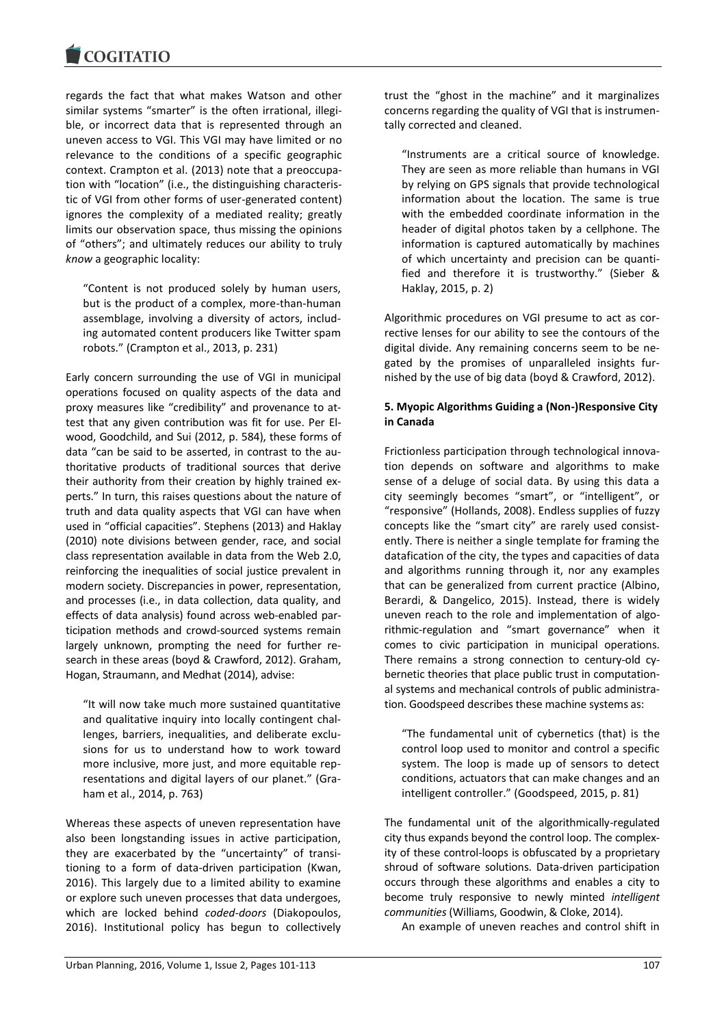

regards the fact that what makes Watson and other similar systems "smarter" is the often irrational, illegible, or incorrect data that is represented through an uneven access to VGI. This VGI may have limited or no relevance to the conditions of a specific geographic context. Crampton et al. (2013) note that a preoccupation with "location" (i.e., the distinguishing characteristic of VGI from other forms of user-generated content) ignores the complexity of a mediated reality; greatly limits our observation space, thus missing the opinions of "others"; and ultimately reduces our ability to truly *know* a geographic locality:

"Content is not produced solely by human users, but is the product of a complex, more-than-human assemblage, involving a diversity of actors, including automated content producers like Twitter spam robots." (Crampton et al., 2013, p. 231)

Early concern surrounding the use of VGI in municipal operations focused on quality aspects of the data and proxy measures like "credibility" and provenance to attest that any given contribution was fit for use. Per Elwood, Goodchild, and Sui (2012, p. 584), these forms of data "can be said to be asserted, in contrast to the authoritative products of traditional sources that derive their authority from their creation by highly trained experts." In turn, this raises questions about the nature of truth and data quality aspects that VGI can have when used in "official capacities". Stephens (2013) and Haklay (2010) note divisions between gender, race, and social class representation available in data from the Web 2.0, reinforcing the inequalities of social justice prevalent in modern society. Discrepancies in power, representation, and processes (i.e., in data collection, data quality, and effects of data analysis) found across web-enabled participation methods and crowd-sourced systems remain largely unknown, prompting the need for further research in these areas (boyd & Crawford, 2012). Graham, Hogan, Straumann, and Medhat (2014), advise:

"It will now take much more sustained quantitative and qualitative inquiry into locally contingent challenges, barriers, inequalities, and deliberate exclusions for us to understand how to work toward more inclusive, more just, and more equitable representations and digital layers of our planet." (Graham et al., 2014, p. 763)

Whereas these aspects of uneven representation have also been longstanding issues in active participation, they are exacerbated by the "uncertainty" of transitioning to a form of data-driven participation (Kwan, 2016). This largely due to a limited ability to examine or explore such uneven processes that data undergoes, which are locked behind *coded-doors* (Diakopoulos, 2016). Institutional policy has begun to collectively trust the "ghost in the machine" and it marginalizes concerns regarding the quality of VGI that is instrumentally corrected and cleaned.

"Instruments are a critical source of knowledge. They are seen as more reliable than humans in VGI by relying on GPS signals that provide technological information about the location. The same is true with the embedded coordinate information in the header of digital photos taken by a cellphone. The information is captured automatically by machines of which uncertainty and precision can be quantified and therefore it is trustworthy." (Sieber & Haklay, 2015, p. 2)

Algorithmic procedures on VGI presume to act as corrective lenses for our ability to see the contours of the digital divide. Any remaining concerns seem to be negated by the promises of unparalleled insights furnished by the use of big data (boyd & Crawford, 2012).

# **5. Myopic Algorithms Guiding a (Non-)Responsive City in Canada**

Frictionless participation through technological innovation depends on software and algorithms to make sense of a deluge of social data. By using this data a city seemingly becomes "smart", or "intelligent", or "responsive" (Hollands, 2008). Endless supplies of fuzzy concepts like the "smart city" are rarely used consistently. There is neither a single template for framing the datafication of the city, the types and capacities of data and algorithms running through it, nor any examples that can be generalized from current practice (Albino, Berardi, & Dangelico, 2015). Instead, there is widely uneven reach to the role and implementation of algorithmic-regulation and "smart governance" when it comes to civic participation in municipal operations. There remains a strong connection to century-old cybernetic theories that place public trust in computational systems and mechanical controls of public administration. Goodspeed describes these machine systems as:

"The fundamental unit of cybernetics (that) is the control loop used to monitor and control a specific system. The loop is made up of sensors to detect conditions, actuators that can make changes and an intelligent controller." (Goodspeed, 2015, p. 81)

The fundamental unit of the algorithmically-regulated city thus expands beyond the control loop. The complexity of these control-loops is obfuscated by a proprietary shroud of software solutions. Data-driven participation occurs through these algorithms and enables a city to become truly responsive to newly minted *intelligent communities* (Williams, Goodwin, & Cloke, 2014).

An example of uneven reaches and control shift in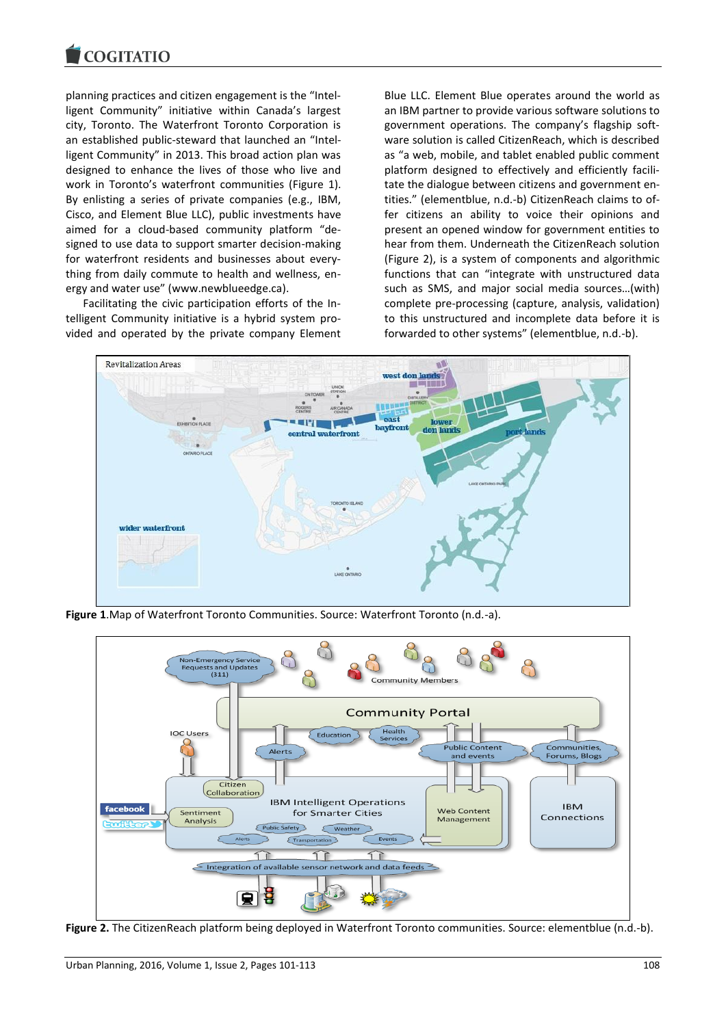

planning practices and citizen engagement is the "Intelligent Community" initiative within Canada's largest city, Toronto. The Waterfront Toronto Corporation is an established public-steward that launched an "Intelligent Community" in 2013. This broad action plan was designed to enhance the lives of those who live and work in Toronto's waterfront communities (Figure 1). By enlisting a series of private companies (e.g., IBM, Cisco, and Element Blue LLC), public investments have aimed for a cloud-based community platform "designed to use data to support smarter decision-making for waterfront residents and businesses about everything from daily commute to health and wellness, energy and water use" (www.newblueedge.ca).

Facilitating the civic participation efforts of the Intelligent Community initiative is a hybrid system provided and operated by the private company Element Blue LLC. Element Blue operates around the world as an IBM partner to provide various software solutions to government operations. The company's flagship software solution is called CitizenReach, which is described as "a web, mobile, and tablet enabled public comment platform designed to effectively and efficiently facilitate the dialogue between citizens and government entities." (elementblue, n.d.-b) CitizenReach claims to offer citizens an ability to voice their opinions and present an opened window for government entities to hear from them. Underneath the CitizenReach solution (Figure 2), is a system of components and algorithmic functions that can "integrate with unstructured data such as SMS, and major social media sources…(with) complete pre-processing (capture, analysis, validation) to this unstructured and incomplete data before it is forwarded to other systems" (elementblue, n.d.-b).



**Figure 1**.Map of Waterfront Toronto Communities. Source: Waterfront Toronto (n.d.-a).



**Figure 2.** The CitizenReach platform being deployed in Waterfront Toronto communities. Source: elementblue (n.d.-b).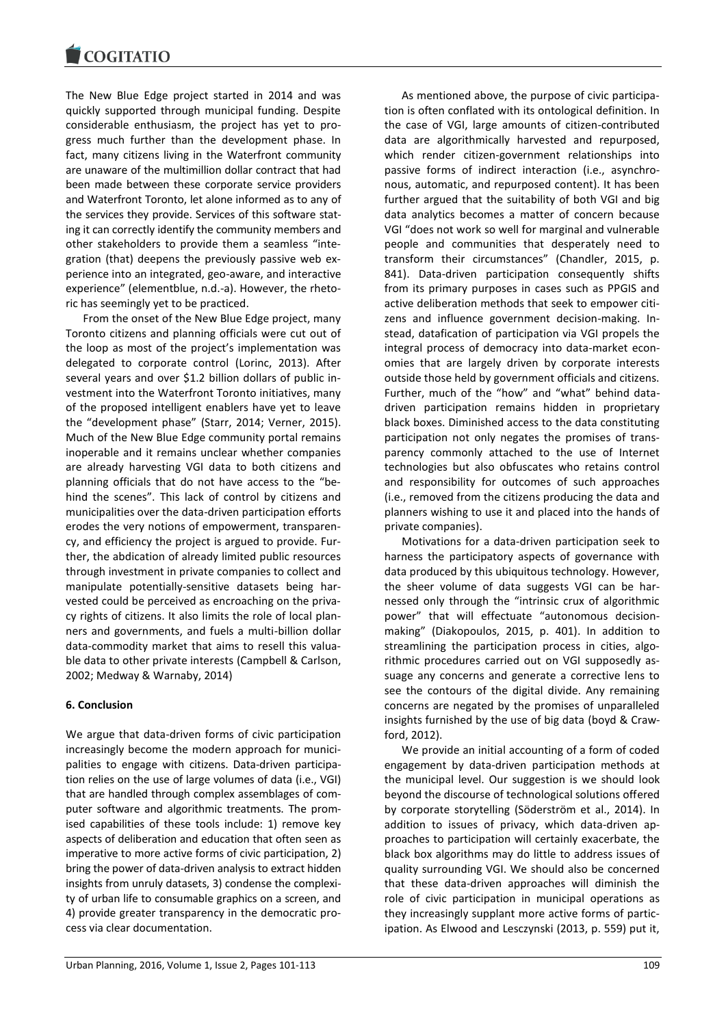The New Blue Edge project started in 2014 and was quickly supported through municipal funding. Despite considerable enthusiasm, the project has yet to progress much further than the development phase. In fact, many citizens living in the Waterfront community are unaware of the multimillion dollar contract that had been made between these corporate service providers and Waterfront Toronto, let alone informed as to any of the services they provide. Services of this software stating it can correctly identify the community members and other stakeholders to provide them a seamless "integration (that) deepens the previously passive web experience into an integrated, geo-aware, and interactive experience" (elementblue, n.d.-a). However, the rhetoric has seemingly yet to be practiced.

From the onset of the New Blue Edge project, many Toronto citizens and planning officials were cut out of the loop as most of the project's implementation was delegated to corporate control (Lorinc, 2013). After several years and over \$1.2 billion dollars of public investment into the Waterfront Toronto initiatives, many of the proposed intelligent enablers have yet to leave the "development phase" (Starr, 2014; Verner, 2015). Much of the New Blue Edge community portal remains inoperable and it remains unclear whether companies are already harvesting VGI data to both citizens and planning officials that do not have access to the "behind the scenes". This lack of control by citizens and municipalities over the data-driven participation efforts erodes the very notions of empowerment, transparency, and efficiency the project is argued to provide. Further, the abdication of already limited public resources through investment in private companies to collect and manipulate potentially-sensitive datasets being harvested could be perceived as encroaching on the privacy rights of citizens. It also limits the role of local planners and governments, and fuels a multi-billion dollar data-commodity market that aims to resell this valuable data to other private interests (Campbell & Carlson, 2002; Medway & Warnaby, 2014)

## **6. Conclusion**

We argue that data-driven forms of civic participation increasingly become the modern approach for municipalities to engage with citizens. Data-driven participation relies on the use of large volumes of data (i.e., VGI) that are handled through complex assemblages of computer software and algorithmic treatments. The promised capabilities of these tools include: 1) remove key aspects of deliberation and education that often seen as imperative to more active forms of civic participation, 2) bring the power of data-driven analysis to extract hidden insights from unruly datasets, 3) condense the complexity of urban life to consumable graphics on a screen, and 4) provide greater transparency in the democratic process via clear documentation.

As mentioned above, the purpose of civic participation is often conflated with its ontological definition. In the case of VGI, large amounts of citizen-contributed data are algorithmically harvested and repurposed, which render citizen-government relationships into passive forms of indirect interaction (i.e., asynchronous, automatic, and repurposed content). It has been further argued that the suitability of both VGI and big data analytics becomes a matter of concern because VGI "does not work so well for marginal and vulnerable people and communities that desperately need to transform their circumstances" (Chandler, 2015, p. 841). Data-driven participation consequently shifts from its primary purposes in cases such as PPGIS and active deliberation methods that seek to empower citizens and influence government decision-making. Instead, datafication of participation via VGI propels the integral process of democracy into data-market economies that are largely driven by corporate interests outside those held by government officials and citizens. Further, much of the "how" and "what" behind datadriven participation remains hidden in proprietary black boxes. Diminished access to the data constituting participation not only negates the promises of transparency commonly attached to the use of Internet technologies but also obfuscates who retains control and responsibility for outcomes of such approaches (i.e., removed from the citizens producing the data and planners wishing to use it and placed into the hands of private companies).

Motivations for a data-driven participation seek to harness the participatory aspects of governance with data produced by this ubiquitous technology. However, the sheer volume of data suggests VGI can be harnessed only through the "intrinsic crux of algorithmic power" that will effectuate "autonomous decisionmaking" (Diakopoulos, 2015, p. 401). In addition to streamlining the participation process in cities, algorithmic procedures carried out on VGI supposedly assuage any concerns and generate a corrective lens to see the contours of the digital divide. Any remaining concerns are negated by the promises of unparalleled insights furnished by the use of big data (boyd & Crawford, 2012).

We provide an initial accounting of a form of coded engagement by data-driven participation methods at the municipal level. Our suggestion is we should look beyond the discourse of technological solutions offered by corporate storytelling (Söderström et al., 2014). In addition to issues of privacy, which data-driven approaches to participation will certainly exacerbate, the black box algorithms may do little to address issues of quality surrounding VGI. We should also be concerned that these data-driven approaches will diminish the role of civic participation in municipal operations as they increasingly supplant more active forms of participation. As Elwood and Lesczynski (2013, p. 559) put it,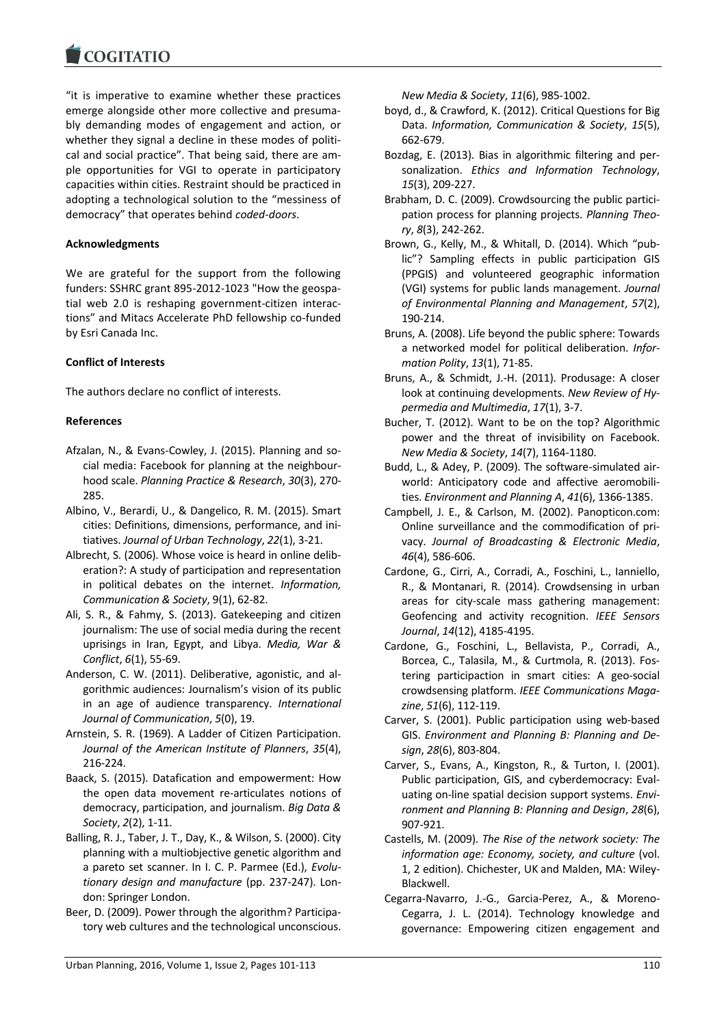"it is imperative to examine whether these practices emerge alongside other more collective and presumably demanding modes of engagement and action, or whether they signal a decline in these modes of political and social practice". That being said, there are ample opportunities for VGI to operate in participatory capacities within cities. Restraint should be practiced in adopting a technological solution to the "messiness of democracy" that operates behind *coded-doors*.

# **Acknowledgments**

We are grateful for the support from the following funders: SSHRC grant 895-2012-1023 "How the geospatial web 2.0 is reshaping government-citizen interactions" and Mitacs Accelerate PhD fellowship co-funded by Esri Canada Inc.

# **Conflict of Interests**

The authors declare no conflict of interests.

# **References**

- Afzalan, N., & Evans-Cowley, J. (2015). Planning and social media: Facebook for planning at the neighbourhood scale. *Planning Practice & Research*, *30*(3), 270- 285.
- Albino, V., Berardi, U., & Dangelico, R. M. (2015). Smart cities: Definitions, dimensions, performance, and initiatives. *Journal of Urban Technology*, *22*(1), 3-21.
- Albrecht, S. (2006). Whose voice is heard in online deliberation?: A study of participation and representation in political debates on the internet. *Information, Communication & Society*, 9(1), 62-82.
- Ali, S. R., & Fahmy, S. (2013). Gatekeeping and citizen journalism: The use of social media during the recent uprisings in Iran, Egypt, and Libya. *Media, War & Conflict*, *6*(1), 55-69.
- Anderson, C. W. (2011). Deliberative, agonistic, and algorithmic audiences: Journalism's vision of its public in an age of audience transparency. *International Journal of Communication*, *5*(0), 19.
- Arnstein, S. R. (1969). A Ladder of Citizen Participation. *Journal of the American Institute of Planners*, *35*(4), 216-224.
- Baack, S. (2015). Datafication and empowerment: How the open data movement re-articulates notions of democracy, participation, and journalism. *Big Data & Society*, *2*(2), 1-11.
- Balling, R. J., Taber, J. T., Day, K., & Wilson, S. (2000). City planning with a multiobjective genetic algorithm and a pareto set scanner. In I. C. P. Parmee (Ed.), *Evolutionary design and manufacture* (pp. 237-247). London: Springer London.
- Beer, D. (2009). Power through the algorithm? Participatory web cultures and the technological unconscious.

*New Media & Society*, *11*(6), 985-1002.

- boyd, d., & Crawford, K. (2012). Critical Questions for Big Data. *Information, Communication & Society*, *15*(5), 662-679.
- Bozdag, E. (2013). Bias in algorithmic filtering and personalization. *Ethics and Information Technology*, *15*(3), 209-227.
- Brabham, D. C. (2009). Crowdsourcing the public participation process for planning projects. *Planning Theory*, *8*(3), 242-262.
- Brown, G., Kelly, M., & Whitall, D. (2014). Which "public"? Sampling effects in public participation GIS (PPGIS) and volunteered geographic information (VGI) systems for public lands management. *Journal of Environmental Planning and Management*, *57*(2), 190-214.
- Bruns, A. (2008). Life beyond the public sphere: Towards a networked model for political deliberation. *Information Polity*, *13*(1), 71-85.
- Bruns, A., & Schmidt, J.-H. (2011). Produsage: A closer look at continuing developments. *New Review of Hypermedia and Multimedia*, *17*(1), 3-7.
- Bucher, T. (2012). Want to be on the top? Algorithmic power and the threat of invisibility on Facebook. *New Media & Society*, *14*(7), 1164-1180.
- Budd, L., & Adey, P. (2009). The software-simulated airworld: Anticipatory code and affective aeromobilities. *Environment and Planning A*, *41*(6), 1366-1385.
- Campbell, J. E., & Carlson, M. (2002). Panopticon.com: Online surveillance and the commodification of privacy. *Journal of Broadcasting & Electronic Media*, *46*(4), 586-606.
- Cardone, G., Cirri, A., Corradi, A., Foschini, L., Ianniello, R., & Montanari, R. (2014). Crowdsensing in urban areas for city-scale mass gathering management: Geofencing and activity recognition. *IEEE Sensors Journal*, *14*(12), 4185-4195.
- Cardone, G., Foschini, L., Bellavista, P., Corradi, A., Borcea, C., Talasila, M., & Curtmola, R. (2013). Fostering participaction in smart cities: A geo-social crowdsensing platform. *IEEE Communications Magazine*, *51*(6), 112-119.
- Carver, S. (2001). Public participation using web-based GIS. *Environment and Planning B: Planning and Design*, *28*(6), 803-804.
- Carver, S., Evans, A., Kingston, R., & Turton, I. (2001). Public participation, GIS, and cyberdemocracy: Evaluating on-line spatial decision support systems. *Environment and Planning B: Planning and Design*, *28*(6), 907-921.
- Castells, M. (2009). *The Rise of the network society: The information age: Economy, society, and culture* (vol. 1, 2 edition). Chichester, UK and Malden, MA: Wiley-Blackwell.
- Cegarra-Navarro, J.-G., Garcia-Perez, A., & Moreno-Cegarra, J. L. (2014). Technology knowledge and governance: Empowering citizen engagement and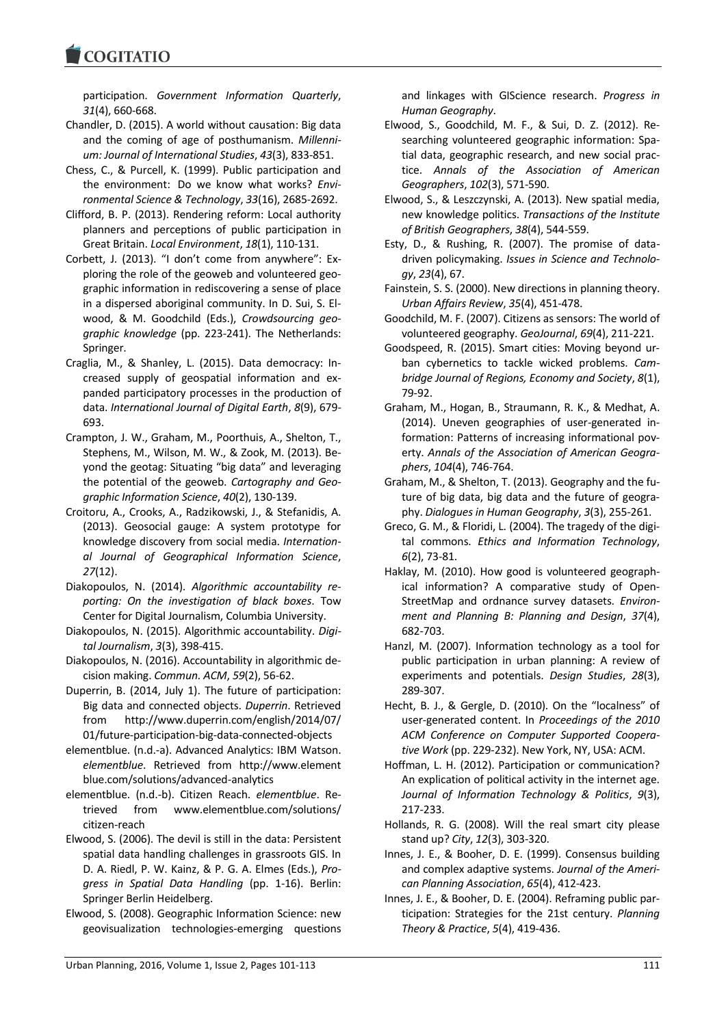**COGITATIO** 

participation. *Government Information Quarterly*, *31*(4), 660-668.

Chandler, D. (2015). A world without causation: Big data and the coming of age of posthumanism. *Millennium: Journal of International Studies*, *43*(3), 833-851.

- Chess, C., & Purcell, K. (1999). Public participation and the environment:  Do we know what works? *Environmental Science & Technology*, *33*(16), 2685-2692.
- Clifford, B. P. (2013). Rendering reform: Local authority planners and perceptions of public participation in Great Britain. *Local Environment*, *18*(1), 110-131.
- Corbett, J. (2013). "I don't come from anywhere": Exploring the role of the geoweb and volunteered geographic information in rediscovering a sense of place in a dispersed aboriginal community. In D. Sui, S. Elwood, & M. Goodchild (Eds.), *Crowdsourcing geographic knowledge* (pp. 223-241). The Netherlands: Springer.
- Craglia, M., & Shanley, L. (2015). Data democracy: Increased supply of geospatial information and expanded participatory processes in the production of data. *International Journal of Digital Earth*, *8*(9), 679- 693.
- Crampton, J. W., Graham, M., Poorthuis, A., Shelton, T., Stephens, M., Wilson, M. W., & Zook, M. (2013). Beyond the geotag: Situating "big data" and leveraging the potential of the geoweb. *Cartography and Geographic Information Science*, *40*(2), 130-139.
- Croitoru, A., Crooks, A., Radzikowski, J., & Stefanidis, A. (2013). Geosocial gauge: A system prototype for knowledge discovery from social media. *International Journal of Geographical Information Science*, *27*(12).
- Diakopoulos, N. (2014). *Algorithmic accountability reporting: On the investigation of black boxes*. Tow Center for Digital Journalism, Columbia University.
- Diakopoulos, N. (2015). Algorithmic accountability. *Digital Journalism*, *3*(3), 398-415.
- Diakopoulos, N. (2016). Accountability in algorithmic decision making. *Commun. ACM*, *59*(2), 56-62.
- Duperrin, B. (2014, July 1). The future of participation: Big data and connected objects. *Duperrin*. Retrieved from http://www.duperrin.com/english/2014/07/ 01/future-participation-big-data-connected-objects
- elementblue. (n.d.-a). Advanced Analytics: IBM Watson. *elementblue*. Retrieved from http://www.element blue.com/solutions/advanced-analytics
- elementblue. (n.d.-b). Citizen Reach. *elementblue*. Retrieved from www.elementblue.com/solutions/ citizen-reach
- Elwood, S. (2006). The devil is still in the data: Persistent spatial data handling challenges in grassroots GIS. In D. A. Riedl, P. W. Kainz, & P. G. A. Elmes (Eds.), *Progress in Spatial Data Handling* (pp. 1-16). Berlin: Springer Berlin Heidelberg.
- Elwood, S. (2008). Geographic Information Science: new geovisualization technologies-emerging questions

and linkages with GIScience research. *Progress in Human Geography*.

- Elwood, S., Goodchild, M. F., & Sui, D. Z. (2012). Researching volunteered geographic information: Spatial data, geographic research, and new social practice. *Annals of the Association of American Geographers*, *102*(3), 571-590.
- Elwood, S., & Leszczynski, A. (2013). New spatial media, new knowledge politics. *Transactions of the Institute of British Geographers*, *38*(4), 544-559.
- Esty, D., & Rushing, R. (2007). The promise of datadriven policymaking. *Issues in Science and Technology*, *23*(4), 67.
- Fainstein, S. S. (2000). New directions in planning theory. *Urban Affairs Review*, *35*(4), 451-478.
- Goodchild, M. F. (2007). Citizens as sensors: The world of volunteered geography. *GeoJournal*, *69*(4), 211-221.
- Goodspeed, R. (2015). Smart cities: Moving beyond urban cybernetics to tackle wicked problems. *Cambridge Journal of Regions, Economy and Society*, *8*(1), 79-92.
- Graham, M., Hogan, B., Straumann, R. K., & Medhat, A. (2014). Uneven geographies of user-generated information: Patterns of increasing informational poverty. *Annals of the Association of American Geographers*, *104*(4), 746-764.
- Graham, M., & Shelton, T. (2013). Geography and the future of big data, big data and the future of geography. *Dialogues in Human Geography*, *3*(3), 255-261.
- Greco, G. M., & Floridi, L. (2004). The tragedy of the digital commons. *Ethics and Information Technology*, *6*(2), 73-81.
- Haklay, M. (2010). How good is volunteered geographical information? A comparative study of Open-StreetMap and ordnance survey datasets. *Environment and Planning B: Planning and Design*, *37*(4), 682-703.
- Hanzl, M. (2007). Information technology as a tool for public participation in urban planning: A review of experiments and potentials. *Design Studies*, *28*(3), 289-307.
- Hecht, B. J., & Gergle, D. (2010). On the "localness" of user-generated content. In *Proceedings of the 2010 ACM Conference on Computer Supported Cooperative Work* (pp. 229-232). New York, NY, USA: ACM.
- Hoffman, L. H. (2012). Participation or communication? An explication of political activity in the internet age. *Journal of Information Technology & Politics*, *9*(3), 217-233.
- Hollands, R. G. (2008). Will the real smart city please stand up? *City*, *12*(3), 303-320.
- Innes, J. E., & Booher, D. E. (1999). Consensus building and complex adaptive systems. *Journal of the American Planning Association*, *65*(4), 412-423.
- Innes, J. E., & Booher, D. E. (2004). Reframing public participation: Strategies for the 21st century. *Planning Theory & Practice*, *5*(4), 419-436.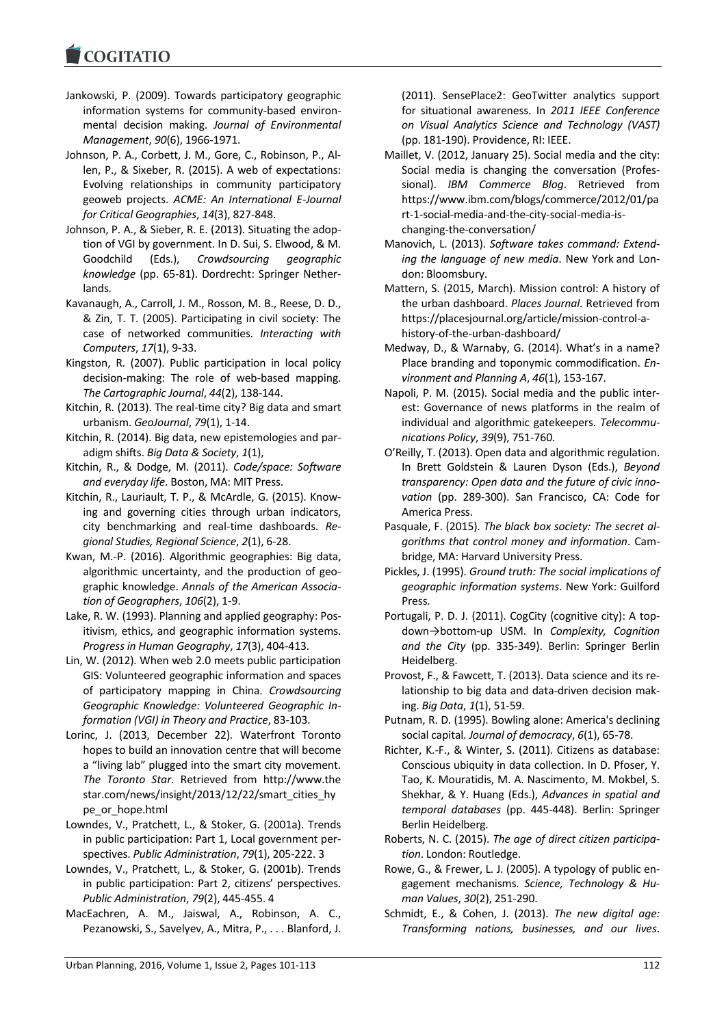Jankowski, P. (2009). Towards participatory geographic information systems for community-based environmental decision making. *Journal of Environmental Management*, *90*(6), 1966-1971.

Johnson, P. A., Corbett, J. M., Gore, C., Robinson, P., Allen, P., & Sixeber, R. (2015). A web of expectations: Evolving relationships in community participatory geoweb projects. *ACME: An International E-Journal for Critical Geographies*, *14*(3), 827-848.

- Johnson, P. A., & Sieber, R. E. (2013). Situating the adoption of VGI by government. In D. Sui, S. Elwood, & M. Goodchild (Eds.), *Crowdsourcing geographic knowledge* (pp. 65-81). Dordrecht: Springer Netherlands.
- Kavanaugh, A., Carroll, J. M., Rosson, M. B., Reese, D. D., & Zin, T. T. (2005). Participating in civil society: The case of networked communities. *Interacting with Computers*, *17*(1), 9-33.
- Kingston, R. (2007). Public participation in local policy decision-making: The role of web-based mapping. *The Cartographic Journal*, *44*(2), 138-144.
- Kitchin, R. (2013). The real-time city? Big data and smart urbanism. *GeoJournal*, *79*(1), 1-14.
- Kitchin, R. (2014). Big data, new epistemologies and paradigm shifts. *Big Data & Society*, *1*(1),
- Kitchin, R., & Dodge, M. (2011). *Code/space: Software and everyday life*. Boston, MA: MIT Press.
- Kitchin, R., Lauriault, T. P., & McArdle, G. (2015). Knowing and governing cities through urban indicators, city benchmarking and real-time dashboards. *Regional Studies, Regional Science*, *2*(1), 6-28.
- Kwan, M.-P. (2016). Algorithmic geographies: Big data, algorithmic uncertainty, and the production of geographic knowledge. *Annals of the American Association of Geographers*, *106*(2), 1-9.
- Lake, R. W. (1993). Planning and applied geography: Positivism, ethics, and geographic information systems. *Progress in Human Geography*, *17*(3), 404-413.
- Lin, W. (2012). When web 2.0 meets public participation GIS: Volunteered geographic information and spaces of participatory mapping in China. *Crowdsourcing Geographic Knowledge: Volunteered Geographic Information (VGI) in Theory and Practice*, 83-103.
- Lorinc, J. (2013, December 22). Waterfront Toronto hopes to build an innovation centre that will become a "living lab" plugged into the smart city movement. *The Toronto Star*. Retrieved from http://www.the star.com/news/insight/2013/12/22/smart\_cities\_hy pe\_or\_hope.html
- Lowndes, V., Pratchett, L., & Stoker, G. (2001a). Trends in public participation: Part 1, Local government perspectives. *Public Administration*, *79*(1), 205-222. 3
- Lowndes, V., Pratchett, L., & Stoker, G. (2001b). Trends in public participation: Part 2, citizens' perspectives. *Public Administration*, *79*(2), 445-455. 4
- MacEachren, A. M., Jaiswal, A., Robinson, A. C., Pezanowski, S., Savelyev, A., Mitra, P., . . . Blanford, J.

(2011). SensePlace2: GeoTwitter analytics support for situational awareness. In *2011 IEEE Conference on Visual Analytics Science and Technology (VAST)* (pp. 181-190). Providence, RI: IEEE.

- Maillet, V. (2012, January 25). Social media and the city: Social media is changing the conversation (Professional). *IBM Commerce Blog*. Retrieved from https://www.ibm.com/blogs/commerce/2012/01/pa rt-1-social-media-and-the-city-social-media-ischanging-the-conversation/
- Manovich, L. (2013). *Software takes command: Extending the language of new media*. New York and London: Bloomsbury.
- Mattern, S. (2015, March). Mission control: A history of the urban dashboard. *Places Journal*. Retrieved from https://placesjournal.org/article/mission-control-ahistory-of-the-urban-dashboard/
- Medway, D., & Warnaby, G. (2014). What's in a name? Place branding and toponymic commodification. *Environment and Planning A*, *46*(1), 153-167.
- Napoli, P. M. (2015). Social media and the public interest: Governance of news platforms in the realm of individual and algorithmic gatekeepers. *Telecommunications Policy*, *39*(9), 751-760.
- O'Reilly, T. (2013). Open data and algorithmic regulation. In Brett Goldstein & Lauren Dyson (Eds.), *Beyond transparency: Open data and the future of civic innovation* (pp. 289-300). San Francisco, CA: Code for America Press.
- Pasquale, F. (2015). *The black box society: The secret algorithms that control money and information*. Cambridge, MA: Harvard University Press.
- Pickles, J. (1995). *Ground truth: The social implications of geographic information systems*. New York: Guilford Press.
- Portugali, P. D. J. (2011). CogCity (cognitive city): A topdown→bottom-up USM. In *Complexity, Cognition and the City* (pp. 335-349). Berlin: Springer Berlin Heidelberg.
- Provost, F., & Fawcett, T. (2013). Data science and its relationship to big data and data-driven decision making. *Big Data*, *1*(1), 51-59.
- Putnam, R. D. (1995). Bowling alone: America's declining social capital. *Journal of democracy*, *6*(1), 65-78.
- Richter, K.-F., & Winter, S. (2011). Citizens as database: Conscious ubiquity in data collection. In D. Pfoser, Y. Tao, K. Mouratidis, M. A. Nascimento, M. Mokbel, S. Shekhar, & Y. Huang (Eds.), *Advances in spatial and temporal databases* (pp. 445-448). Berlin: Springer Berlin Heidelberg.
- Roberts, N. C. (2015). *The age of direct citizen participation*. London: Routledge.
- Rowe, G., & Frewer, L. J. (2005). A typology of public engagement mechanisms. *Science, Technology & Human Values*, *30*(2), 251-290.
- Schmidt, E., & Cohen, J. (2013). *The new digital age: Transforming nations, businesses, and our lives*.